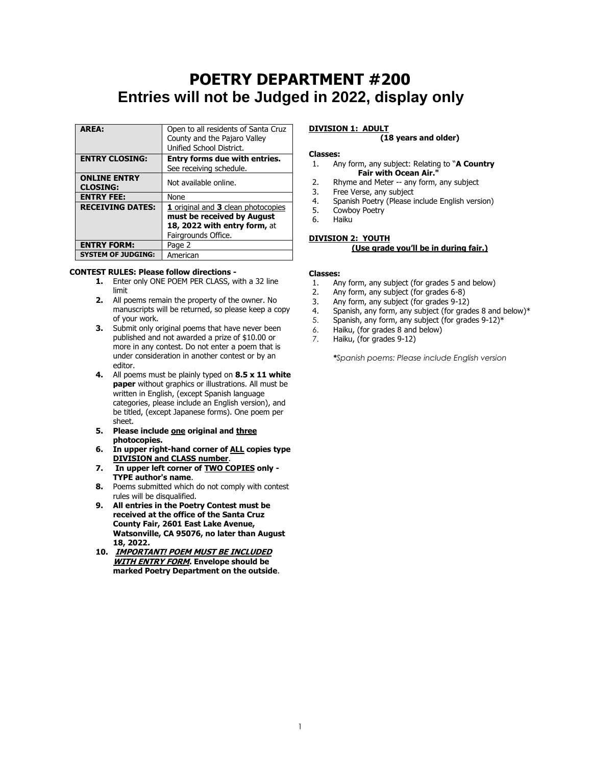# **POETRY DEPARTMENT #200 Entries will not be Judged in 2022, display only**

| <b>AREA:</b>              | Open to all residents of Santa Cruz  |  |  |  |  |  |
|---------------------------|--------------------------------------|--|--|--|--|--|
|                           | County and the Pajaro Valley         |  |  |  |  |  |
|                           | Unified School District.             |  |  |  |  |  |
| <b>ENTRY CLOSING:</b>     | <b>Entry forms due with entries.</b> |  |  |  |  |  |
|                           | See receiving schedule.              |  |  |  |  |  |
| <b>ONLINE ENTRY</b>       |                                      |  |  |  |  |  |
| <b>CLOSING:</b>           | Not available online.                |  |  |  |  |  |
| <b>ENTRY FEE:</b>         | None                                 |  |  |  |  |  |
| <b>RECEIVING DATES:</b>   | 1 original and 3 clean photocopies   |  |  |  |  |  |
|                           | must be received by August           |  |  |  |  |  |
|                           | 18, 2022 with entry form, at         |  |  |  |  |  |
|                           | Fairgrounds Office.                  |  |  |  |  |  |
| <b>ENTRY FORM:</b>        | Page 2                               |  |  |  |  |  |
| <b>SYSTEM OF JUDGING:</b> | American                             |  |  |  |  |  |

#### **CONTEST RULES: Please follow directions -**

- **1.** Enter only ONE POEM PER CLASS, with a 32 line limit
- **2.** All poems remain the property of the owner. No manuscripts will be returned, so please keep a copy of your work.
- **3.** Submit only original poems that have never been published and not awarded a prize of \$10.00 or more in any contest. Do not enter a poem that is under consideration in another contest or by an editor.
- **4.** All poems must be plainly typed on **8.5 x 11 white paper** without graphics or illustrations. All must be written in English, (except Spanish language categories, please include an English version), and be titled, (except Japanese forms). One poem per sheet.
- **5. Please include one original and three photocopies.**
- **6. In upper right-hand corner of ALL copies type DIVISION and CLASS number**.
- **7. In upper left corner of TWO COPIES only - TYPE author's name**.
- **8.** Poems submitted which do not comply with contest rules will be disqualified.
- **9. All entries in the Poetry Contest must be received at the office of the Santa Cruz County Fair, 2601 East Lake Avenue, Watsonville, CA 95076, no later than August 18, 2022.**
- **10. IMPORTANT! POEM MUST BE INCLUDED WITH ENTRY FORM. Envelope should be marked Poetry Department on the outside**.

# **DIVISION 1: ADULT**

## **(18 years and older)**

#### **Classes:**

- 1. Any form, any subject: Relating to "**A Country Fair with Ocean Air."**
- 2. Rhyme and Meter -- any form, any subject
- 3. Free Verse, any subject
- 4. Spanish Poetry (Please include English version)
- 5. Cowboy Poetry
- 6. Haiku

#### **DIVISION 2: YOUTH (Use grade you'll be in during fair.)**

#### **Classes:**

- 1. Any form, any subject (for grades 5 and below)
- 2. Any form, any subject (for grades 6-8)
- 3. Any form, any subject (for grades 9-12)
- 4. Spanish, any form, any subject (for grades 8 and below)\*
- 5. Spanish, any form, any subject (for grades 9-12)\*
- 6. Haiku, (for grades 8 and below)
- 7. Haiku, (for grades 9-12)

*\*Spanish poems: Please include English version*